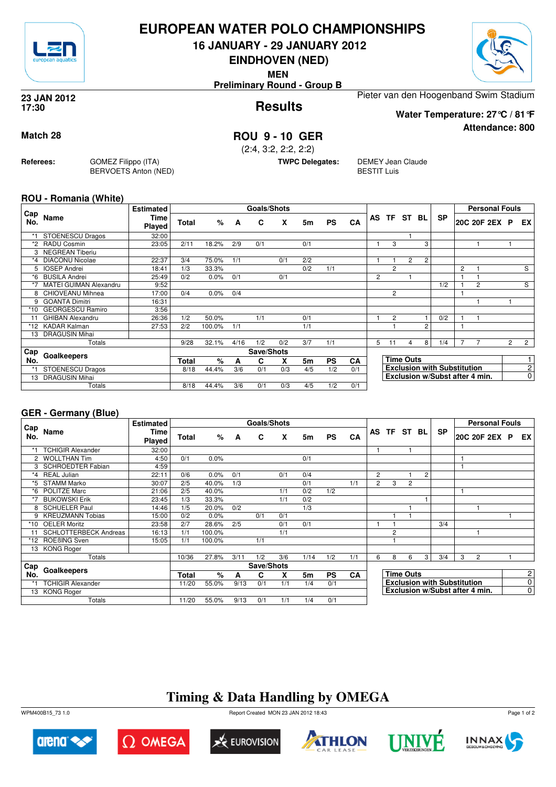

## **EUROPEAN WATER POLO CHAMPIONSHIPS**

**16 JANUARY - 29 JANUARY 2012**

**EINDHOVEN (NED)**

**MEN**

**Preliminary Round - Group B**



**Attendance: 800**

**Results 23 JAN 2012 17:30**

Pieter van den Hoogenband Swim Stadium

**Water Temperature: 27°C / 81°F**

### **Match 28 ROU 9 - 10 GER**

(2:4, 3:2, 2:2, 2:2)

**TWPC Delegates:** DEMEY Jean Claude BESTIT Luis

#### **ROU - Romania (White)**

**Referees:** GOMEZ Filippo (ITA)

BERVOETS Anton (NED)

| Cap     |                               | <b>Estimated</b> |              |        |      | <b>Goals/Shots</b> |     |                |           |           |    |                |                  |   |                                    |                | <b>Personal Fouls</b>          |                       |                |
|---------|-------------------------------|------------------|--------------|--------|------|--------------------|-----|----------------|-----------|-----------|----|----------------|------------------|---|------------------------------------|----------------|--------------------------------|-----------------------|----------------|
| No.     | Name                          | Time<br>Played   | <b>Total</b> | %      | A    | C                  | X   | 5 <sub>m</sub> | <b>PS</b> | CA        | AS |                | TF ST BL         |   | <b>SP</b>                          |                | 20C 20F 2EX P                  |                       | EX             |
| *1      | <b>STOENESCU Dragos</b>       | 32:00            |              |        |      |                    |     |                |           |           |    |                |                  |   |                                    |                |                                |                       |                |
|         | <b>RADU Cosmin</b>            | 23:05            | 2/11         | 18.2%  | 2/9  | 0/1                |     | 0/1            |           |           |    | 3              |                  | 3 |                                    |                |                                |                       |                |
| 3       | <b>NEGREAN Tiberiu</b>        |                  |              |        |      |                    |     |                |           |           |    |                |                  |   |                                    |                |                                |                       |                |
| $*_{4}$ | <b>DIACONU Nicolae</b>        | 22:37            | 3/4          | 75.0%  | 1/1  |                    | 0/1 | 2/2            |           |           |    |                | 2                | 2 |                                    |                |                                |                       |                |
| 5       | <b>IOSEP Andrei</b>           | 18:41            | 1/3          | 33.3%  |      |                    |     | 0/2            | 1/1       |           |    | $\overline{2}$ |                  |   |                                    | $\overline{c}$ |                                |                       | S              |
| *6      | <b>BUSILA Andrei</b>          | 25:49            | 0/2          | 0.0%   | 0/1  |                    | 0/1 |                |           |           | 2  |                |                  |   |                                    |                |                                |                       |                |
|         | <b>MATEI GUIMAN Alexandru</b> | 9:52             |              |        |      |                    |     |                |           |           |    |                |                  |   | 1/2                                |                | $\overline{2}$                 |                       | S              |
| 8       | CHIOVEANU Mihnea              | 17:00            | 0/4          | 0.0%   | 0/4  |                    |     |                |           |           |    | $\overline{2}$ |                  |   |                                    |                |                                |                       |                |
| 9       | <b>GOANTA Dimitri</b>         | 16:31            |              |        |      |                    |     |                |           |           |    |                |                  |   |                                    |                |                                |                       |                |
| *10     | <b>GEORGESCU Ramiro</b>       | 3:56             |              |        |      |                    |     |                |           |           |    |                |                  |   |                                    |                |                                |                       |                |
| 11      | <b>GHIBAN Alexandru</b>       | 26:36            | 1/2          | 50.0%  |      | 1/1                |     | 0/1            |           |           |    | $\overline{2}$ |                  |   | 0/2                                |                |                                |                       |                |
|         | *12 KADAR Kalman              | 27:53            | 2/2          | 100.0% | 1/1  |                    |     | 1/1            |           |           |    |                |                  | 2 |                                    |                |                                |                       |                |
| 13      | <b>DRAGUSIN Mihai</b>         |                  |              |        |      |                    |     |                |           |           |    |                |                  |   |                                    |                |                                |                       |                |
|         | Totals                        |                  | 9/28         | 32.1%  | 4/16 | 1/2                | 0/2 | 3/7            | 1/1       |           | 5  | 11             | 4                | 8 | 1/4                                |                |                                | $\mathbf{2}^{\prime}$ | $\overline{2}$ |
| Cap     | Goalkeepers                   |                  |              |        |      | Save/Shots         |     |                |           |           |    |                |                  |   |                                    |                |                                |                       |                |
| No.     |                               |                  | <b>Total</b> | $\%$   | A    | C                  | X   | 5 <sub>m</sub> | <b>PS</b> | <b>CA</b> |    |                | <b>Time Outs</b> |   |                                    |                |                                |                       |                |
|         | <b>STOENESCU Dragos</b>       |                  | 8/18         | 44.4%  | 3/6  | 0/1                | 0/3 | 4/5            | 1/2       | 0/1       |    |                |                  |   | <b>Exclusion with Substitution</b> |                |                                |                       | $\overline{c}$ |
| 13      | <b>DRAGUSIN Mihai</b>         |                  |              |        |      |                    |     |                |           |           |    |                |                  |   |                                    |                | Exclusion w/Subst after 4 min. |                       | 0              |
|         | Totals                        |                  | 8/18         | 44.4%  | 3/6  | 0/1                | 0/3 | 4/5            | 1/2       | 0/1       |    |                |                  |   |                                    |                |                                |                       |                |

#### **GER - Germany (Blue)**

|                      |                              | <b>Estimated</b>      |       |        |      | Goals/Shots |     |      |           |           |                |                                    |                  |                |           |                | <b>Personal Fouls</b>          |                |
|----------------------|------------------------------|-----------------------|-------|--------|------|-------------|-----|------|-----------|-----------|----------------|------------------------------------|------------------|----------------|-----------|----------------|--------------------------------|----------------|
| Cap<br>No.           | Name                         | Time<br><b>Played</b> | Total | %      | A    | C           | X   | 5m   | <b>PS</b> | CA        |                | AS TF ST BL                        |                  |                | <b>SP</b> |                | 20C 20F 2EX P                  | EX I           |
|                      | <b>TCHIGIR Alexander</b>     | 32:00                 |       |        |      |             |     |      |           |           |                |                                    |                  |                |           |                |                                |                |
| $\mathbf{2}^{\circ}$ | <b>WOLLTHAN Tim</b>          | 4:50                  | 0/1   | 0.0%   |      |             |     | 0/1  |           |           |                |                                    |                  |                |           |                |                                |                |
| 3                    | <b>SCHROEDTER Fabian</b>     | 4:59                  |       |        |      |             |     |      |           |           |                |                                    |                  |                |           |                |                                |                |
| $*_{4}$              | <b>REAL Julian</b>           | 22:11                 | 0/6   | 0.0%   | 0/1  |             | 0/1 | 0/4  |           |           | $\overline{2}$ |                                    |                  | $\overline{2}$ |           |                |                                |                |
| *5                   | <b>STAMM Marko</b>           | 30:07                 | 2/5   | 40.0%  | 1/3  |             |     | 0/1  |           | 1/1       | $\overline{2}$ | 3                                  | $\overline{2}$   |                |           |                |                                |                |
| *6                   | POLITZE Marc                 | 21:06                 | 2/5   | 40.0%  |      |             | 1/1 | 0/2  | 1/2       |           |                |                                    |                  |                |           |                |                                |                |
| *7                   | <b>BUKOWSKI Erik</b>         | 23:45                 | 1/3   | 33.3%  |      |             | 1/1 | 0/2  |           |           |                |                                    |                  |                |           |                |                                |                |
|                      | <b>SCHUELER Paul</b>         | 14:46                 | 1/5   | 20.0%  | 0/2  |             |     | 1/3  |           |           |                |                                    |                  |                |           |                |                                |                |
| 9                    | <b>KREUZMANN Tobias</b>      | 15:00                 | 0/2   | 0.0%   |      | 0/1         | 0/1 |      |           |           |                |                                    |                  |                |           |                |                                |                |
| *10                  | <b>OELER Moritz</b>          | 23:58                 | 2/7   | 28.6%  | 2/5  |             | 0/1 | 0/1  |           |           |                |                                    |                  |                | 3/4       |                |                                |                |
|                      | <b>SCHLOTTERBECK Andreas</b> | 16:13                 | 1/1   | 100.0% |      |             | 1/1 |      |           |           |                | $\overline{c}$                     |                  |                |           |                |                                |                |
| *12                  | ROEBING Sven                 | 15:05                 | 1/1   | 100.0% |      | 1/1         |     |      |           |           |                |                                    |                  |                |           |                |                                |                |
|                      | 13 KONG Roger                |                       |       |        |      |             |     |      |           |           |                |                                    |                  |                |           |                |                                |                |
|                      | Totals                       |                       | 10/36 | 27.8%  | 3/11 | 1/2         | 3/6 | 1/14 | 1/2       | 1/1       | 6              | 8                                  | 6                | 3              | 3/4       | 3              | 2                              |                |
| Cap                  |                              |                       |       |        |      | Save/Shots  |     |      |           |           |                |                                    |                  |                |           |                |                                |                |
| No.                  | Goalkeepers                  |                       | Total | $\%$   | A    | C           | x   | 5m   | <b>PS</b> | <b>CA</b> |                |                                    | <b>Time Outs</b> |                |           |                |                                | $\mathbf{2}$   |
|                      | <b>TCHIGIR Alexander</b>     |                       | 11/20 | 55.0%  | 9/13 | 0/1         | 1/1 | 1/4  | 0/1       |           |                | <b>Exclusion with Substitution</b> |                  |                |           | $\overline{0}$ |                                |                |
|                      | 13 KONG Roger                |                       |       |        |      |             |     |      |           |           |                |                                    |                  |                |           |                | Exclusion w/Subst after 4 min. | $\overline{0}$ |
|                      | Totals                       |                       | 11/20 | 55.0%  | 9/13 | 0/1         | 1/1 | 1/4  | 0/1       |           |                |                                    |                  |                |           |                |                                |                |

# **Timing & Data Handling by OMEGA**

WPM400B15\_73 1.0 Report Created MON 23 JAN 2012 18:43













Page 1 of 2